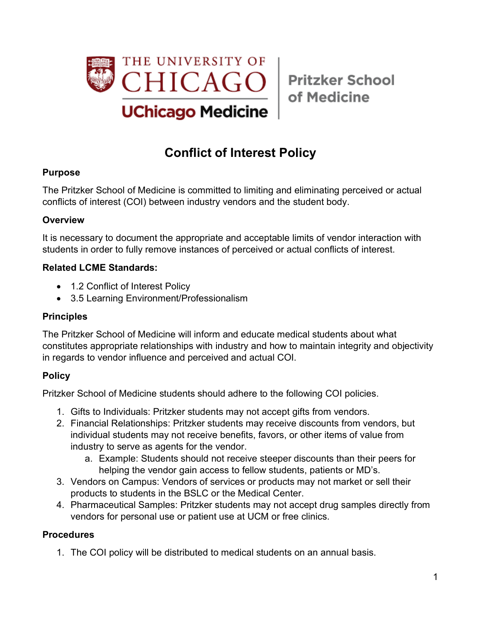

of Medicine

# **Conflict of Interest Policy**

## **Purpose**

The Pritzker School of Medicine is committed to limiting and eliminating perceived or actual conflicts of interest (COI) between industry vendors and the student body.

## **Overview**

It is necessary to document the appropriate and acceptable limits of vendor interaction with students in order to fully remove instances of perceived or actual conflicts of interest.

## **Related LCME Standards:**

- 1.2 Conflict of Interest Policy
- 3.5 Learning Environment/Professionalism

## **Principles**

The Pritzker School of Medicine will inform and educate medical students about what constitutes appropriate relationships with industry and how to maintain integrity and objectivity in regards to vendor influence and perceived and actual COI.

## **Policy**

Pritzker School of Medicine students should adhere to the following COI policies.

- 1. Gifts to Individuals: Pritzker students may not accept gifts from vendors.
- 2. Financial Relationships: Pritzker students may receive discounts from vendors, but individual students may not receive benefits, favors, or other items of value from industry to serve as agents for the vendor.
	- a. Example: Students should not receive steeper discounts than their peers for helping the vendor gain access to fellow students, patients or MD's.
- 3. Vendors on Campus: Vendors of services or products may not market or sell their products to students in the BSLC or the Medical Center.
- 4. Pharmaceutical Samples: Pritzker students may not accept drug samples directly from vendors for personal use or patient use at UCM or free clinics.

## **Procedures**

1. The COI policy will be distributed to medical students on an annual basis.